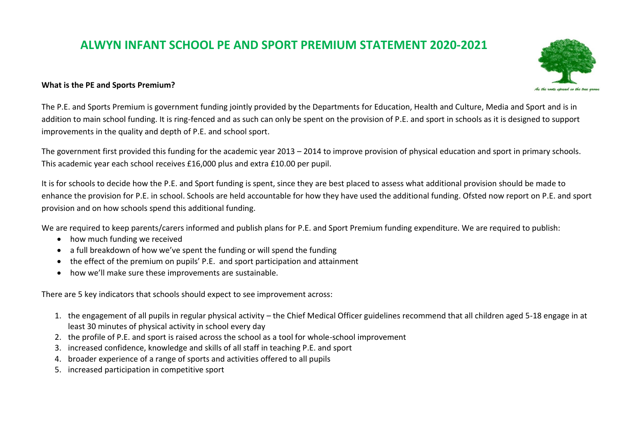## **ALWYN INFANT SCHOOL PE AND SPORT PREMIUM STATEMENT 2020-2021**

## **What is the PE and Sports Premium?**

The P.E. and Sports Premium is government funding jointly provided by the Departments for Education, Health and Culture, Media and Sport and is in addition to main school funding. It is ring-fenced and as such can only be spent on the provision of P.E. and sport in schools as it is designed to support improvements in the quality and depth of P.E. and school sport.

The government first provided this funding for the academic year 2013 – 2014 to improve provision of physical education and sport in primary schools. This academic year each school receives £16,000 plus and extra £10.00 per pupil.

It is for schools to decide how the P.E. and Sport funding is spent, since they are best placed to assess what additional provision should be made to enhance the provision for P.E. in school. Schools are held accountable for how they have used the additional funding. Ofsted now report on P.E. and sport provision and on how schools spend this additional funding.

We are required to keep parents/carers informed and publish plans for P.E. and Sport Premium funding expenditure. We are required to publish:

- how much funding we received
- a full breakdown of how we've spent the funding or will spend the funding
- the effect of the premium on pupils' P.E. and sport participation and attainment
- how we'll make sure these improvements are sustainable.

There are 5 key indicators that schools should expect to see improvement across:

- 1. the engagement of all pupils in regular physical activity the Chief Medical Officer guidelines recommend that all children aged 5-18 engage in at least 30 minutes of physical activity in school every day
- 2. the profile of P.E. and sport is raised across the school as a tool for whole-school improvement
- 3. increased confidence, knowledge and skills of all staff in teaching P.E. and sport
- 4. broader experience of a range of sports and activities offered to all pupils
- 5. increased participation in competitive sport

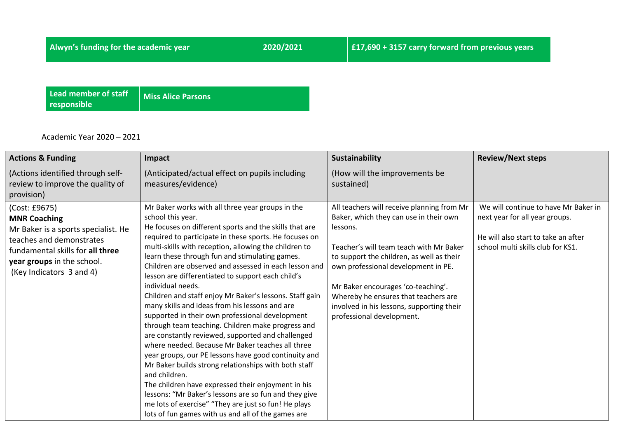**Lead member of staff responsible**

**Miss Alice Parsons**

Academic Year 2020 – 2021

| <b>Actions &amp; Funding</b>                                                                                                                                                                          | Impact                                                                                                                                                                                                                                                                                                                                                                                                                                                                                                                                                                                                                                                                                                                                                                                                                                                                                                                                                                                                                                                                                                                              | Sustainability                                                                                                                                                                                                                                                                                                                                                                          | <b>Review/Next steps</b>                                                                                                                           |
|-------------------------------------------------------------------------------------------------------------------------------------------------------------------------------------------------------|-------------------------------------------------------------------------------------------------------------------------------------------------------------------------------------------------------------------------------------------------------------------------------------------------------------------------------------------------------------------------------------------------------------------------------------------------------------------------------------------------------------------------------------------------------------------------------------------------------------------------------------------------------------------------------------------------------------------------------------------------------------------------------------------------------------------------------------------------------------------------------------------------------------------------------------------------------------------------------------------------------------------------------------------------------------------------------------------------------------------------------------|-----------------------------------------------------------------------------------------------------------------------------------------------------------------------------------------------------------------------------------------------------------------------------------------------------------------------------------------------------------------------------------------|----------------------------------------------------------------------------------------------------------------------------------------------------|
| (Actions identified through self-<br>review to improve the quality of<br>provision)                                                                                                                   | (Anticipated/actual effect on pupils including<br>measures/evidence)                                                                                                                                                                                                                                                                                                                                                                                                                                                                                                                                                                                                                                                                                                                                                                                                                                                                                                                                                                                                                                                                | (How will the improvements be<br>sustained)                                                                                                                                                                                                                                                                                                                                             |                                                                                                                                                    |
| (Cost: £9675)<br><b>MNR Coaching</b><br>Mr Baker is a sports specialist. He<br>teaches and demonstrates<br>fundamental skills for all three<br>year groups in the school.<br>(Key Indicators 3 and 4) | Mr Baker works with all three year groups in the<br>school this year.<br>He focuses on different sports and the skills that are<br>required to participate in these sports. He focuses on<br>multi-skills with reception, allowing the children to<br>learn these through fun and stimulating games.<br>Children are observed and assessed in each lesson and<br>lesson are differentiated to support each child's<br>individual needs.<br>Children and staff enjoy Mr Baker's lessons. Staff gain<br>many skills and ideas from his lessons and are<br>supported in their own professional development<br>through team teaching. Children make progress and<br>are constantly reviewed, supported and challenged<br>where needed. Because Mr Baker teaches all three<br>year groups, our PE lessons have good continuity and<br>Mr Baker builds strong relationships with both staff<br>and children.<br>The children have expressed their enjoyment in his<br>lessons: "Mr Baker's lessons are so fun and they give<br>me lots of exercise" "They are just so fun! He plays<br>lots of fun games with us and all of the games are | All teachers will receive planning from Mr<br>Baker, which they can use in their own<br>lessons.<br>Teacher's will team teach with Mr Baker<br>to support the children, as well as their<br>own professional development in PE.<br>Mr Baker encourages 'co-teaching'.<br>Whereby he ensures that teachers are<br>involved in his lessons, supporting their<br>professional development. | We will continue to have Mr Baker in<br>next year for all year groups.<br>He will also start to take an after<br>school multi skills club for KS1. |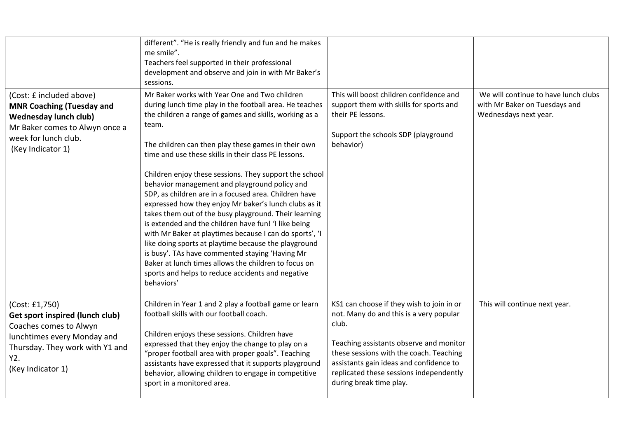|                                                                                                                                                                                  | different". "He is really friendly and fun and he makes<br>me smile".<br>Teachers feel supported in their professional<br>development and observe and join in with Mr Baker's<br>sessions.                                                                                                                                                                                                                                                                                                                                                                                                                                                                                                                                                                                                                                                                                                                                                |                                                                                                                                                                                                                                                                                                      |                                                                                                |
|----------------------------------------------------------------------------------------------------------------------------------------------------------------------------------|-------------------------------------------------------------------------------------------------------------------------------------------------------------------------------------------------------------------------------------------------------------------------------------------------------------------------------------------------------------------------------------------------------------------------------------------------------------------------------------------------------------------------------------------------------------------------------------------------------------------------------------------------------------------------------------------------------------------------------------------------------------------------------------------------------------------------------------------------------------------------------------------------------------------------------------------|------------------------------------------------------------------------------------------------------------------------------------------------------------------------------------------------------------------------------------------------------------------------------------------------------|------------------------------------------------------------------------------------------------|
| (Cost: £ included above)<br><b>MNR Coaching (Tuesday and</b><br><b>Wednesday lunch club)</b><br>Mr Baker comes to Alwyn once a<br>week for lunch club.<br>(Key Indicator 1)      | Mr Baker works with Year One and Two children<br>during lunch time play in the football area. He teaches<br>the children a range of games and skills, working as a<br>team.<br>The children can then play these games in their own<br>time and use these skills in their class PE lessons.<br>Children enjoy these sessions. They support the school<br>behavior management and playground policy and<br>SDP, as children are in a focused area. Children have<br>expressed how they enjoy Mr baker's lunch clubs as it<br>takes them out of the busy playground. Their learning<br>is extended and the children have fun! 'I like being<br>with Mr Baker at playtimes because I can do sports', 'I<br>like doing sports at playtime because the playground<br>is busy'. TAs have commented staying 'Having Mr<br>Baker at lunch times allows the children to focus on<br>sports and helps to reduce accidents and negative<br>behaviors' | This will boost children confidence and<br>support them with skills for sports and<br>their PE lessons.<br>Support the schools SDP (playground<br>behavior)                                                                                                                                          | We will continue to have lunch clubs<br>with Mr Baker on Tuesdays and<br>Wednesdays next year. |
| (Cost: £1,750)<br><b>Get sport inspired (lunch club)</b><br>Coaches comes to Alwyn<br>lunchtimes every Monday and<br>Thursday. They work with Y1 and<br>Y2.<br>(Key Indicator 1) | Children in Year 1 and 2 play a football game or learn<br>football skills with our football coach.<br>Children enjoys these sessions. Children have<br>expressed that they enjoy the change to play on a<br>"proper football area with proper goals". Teaching<br>assistants have expressed that it supports playground<br>behavior, allowing children to engage in competitive<br>sport in a monitored area.                                                                                                                                                                                                                                                                                                                                                                                                                                                                                                                             | KS1 can choose if they wish to join in or<br>not. Many do and this is a very popular<br>club.<br>Teaching assistants observe and monitor<br>these sessions with the coach. Teaching<br>assistants gain ideas and confidence to<br>replicated these sessions independently<br>during break time play. | This will continue next year.                                                                  |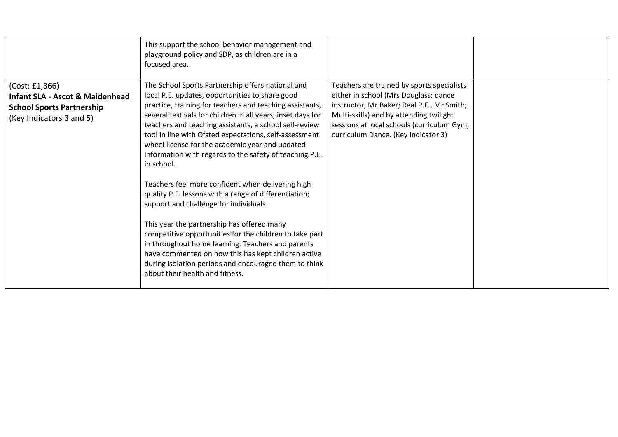|                                                                                                                              | This support the school behavior management and<br>playground policy and SDP, as children are in a<br>focused area.                                                                                                                                                                                                                                                                                                                                                                                                                                                                                                                                                                                                                                                                                                                                                                                                                                      |                                                                                                                                                                                                                                                                   |  |
|------------------------------------------------------------------------------------------------------------------------------|----------------------------------------------------------------------------------------------------------------------------------------------------------------------------------------------------------------------------------------------------------------------------------------------------------------------------------------------------------------------------------------------------------------------------------------------------------------------------------------------------------------------------------------------------------------------------------------------------------------------------------------------------------------------------------------------------------------------------------------------------------------------------------------------------------------------------------------------------------------------------------------------------------------------------------------------------------|-------------------------------------------------------------------------------------------------------------------------------------------------------------------------------------------------------------------------------------------------------------------|--|
| (Cost: £1,366)<br><b>Infant SLA - Ascot &amp; Maidenhead</b><br><b>School Sports Partnership</b><br>(Key Indicators 3 and 5) | The School Sports Partnership offers national and<br>local P.E. updates, opportunities to share good<br>practice, training for teachers and teaching assistants,<br>several festivals for children in all years, inset days for<br>teachers and teaching assistants, a school self-review<br>tool in line with Ofsted expectations, self-assessment<br>wheel license for the academic year and updated<br>information with regards to the safety of teaching P.E.<br>in school.<br>Teachers feel more confident when delivering high<br>quality P.E. lessons with a range of differentiation;<br>support and challenge for individuals.<br>This year the partnership has offered many<br>competitive opportunities for the children to take part<br>in throughout home learning. Teachers and parents<br>have commented on how this has kept children active<br>during isolation periods and encouraged them to think<br>about their health and fitness. | Teachers are trained by sports specialists<br>either in school (Mrs Douglass; dance<br>instructor, Mr Baker; Real P.E., Mr Smith;<br>Multi-skills) and by attending twilight<br>sessions at local schools (curriculum Gym,<br>curriculum Dance. (Key Indicator 3) |  |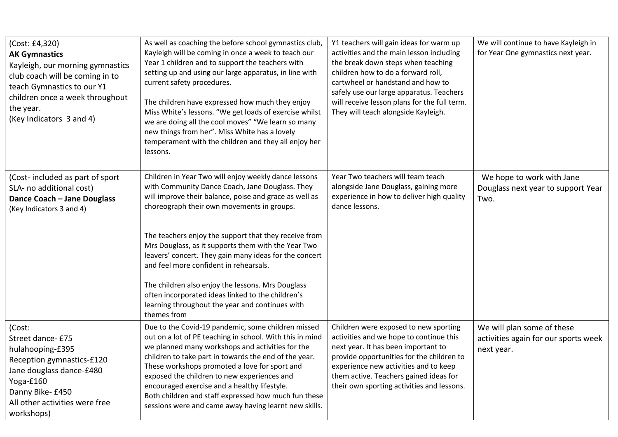| (Cost: £4,320)<br><b>AK Gymnastics</b><br>Kayleigh, our morning gymnastics<br>club coach will be coming in to<br>teach Gymnastics to our Y1<br>children once a week throughout<br>the year.<br>(Key Indicators 3 and 4) | As well as coaching the before school gymnastics club,<br>Kayleigh will be coming in once a week to teach our<br>Year 1 children and to support the teachers with<br>setting up and using our large apparatus, in line with<br>current safety procedures.<br>The children have expressed how much they enjoy<br>Miss White's lessons. "We get loads of exercise whilst<br>we are doing all the cool moves" "We learn so many<br>new things from her". Miss White has a lovely<br>temperament with the children and they all enjoy her<br>lessons.                                                               | Y1 teachers will gain ideas for warm up<br>activities and the main lesson including<br>the break down steps when teaching<br>children how to do a forward roll,<br>cartwheel or handstand and how to<br>safely use our large apparatus. Teachers<br>will receive lesson plans for the full term.<br>They will teach alongside Kayleigh. | We will continue to have Kayleigh in<br>for Year One gymnastics next year.       |
|-------------------------------------------------------------------------------------------------------------------------------------------------------------------------------------------------------------------------|-----------------------------------------------------------------------------------------------------------------------------------------------------------------------------------------------------------------------------------------------------------------------------------------------------------------------------------------------------------------------------------------------------------------------------------------------------------------------------------------------------------------------------------------------------------------------------------------------------------------|-----------------------------------------------------------------------------------------------------------------------------------------------------------------------------------------------------------------------------------------------------------------------------------------------------------------------------------------|----------------------------------------------------------------------------------|
| (Cost-included as part of sport<br>SLA- no additional cost)<br>Dance Coach - Jane Douglass<br>(Key Indicators 3 and 4)                                                                                                  | Children in Year Two will enjoy weekly dance lessons<br>with Community Dance Coach, Jane Douglass. They<br>will improve their balance, poise and grace as well as<br>choreograph their own movements in groups.<br>The teachers enjoy the support that they receive from<br>Mrs Douglass, as it supports them with the Year Two<br>leavers' concert. They gain many ideas for the concert<br>and feel more confident in rehearsals.<br>The children also enjoy the lessons. Mrs Douglass<br>often incorporated ideas linked to the children's<br>learning throughout the year and continues with<br>themes from | Year Two teachers will team teach<br>alongside Jane Douglass, gaining more<br>experience in how to deliver high quality<br>dance lessons.                                                                                                                                                                                               | We hope to work with Jane<br>Douglass next year to support Year<br>Two.          |
| (Cost:<br>Street dance- £75<br>hulahooping-£395<br>Reception gymnastics-£120<br>Jane douglass dance-£480<br>Yoga-£160<br>Danny Bike- £450<br>All other activities were free<br>workshops)                               | Due to the Covid-19 pandemic, some children missed<br>out on a lot of PE teaching in school. With this in mind<br>we planned many workshops and activities for the<br>children to take part in towards the end of the year.<br>These workshops promoted a love for sport and<br>exposed the children to new experiences and<br>encouraged exercise and a healthy lifestyle.<br>Both children and staff expressed how much fun these<br>sessions were and came away having learnt new skills.                                                                                                                    | Children were exposed to new sporting<br>activities and we hope to continue this<br>next year. It has been important to<br>provide opportunities for the children to<br>experience new activities and to keep<br>them active. Teachers gained ideas for<br>their own sporting activities and lessons.                                   | We will plan some of these<br>activities again for our sports week<br>next year. |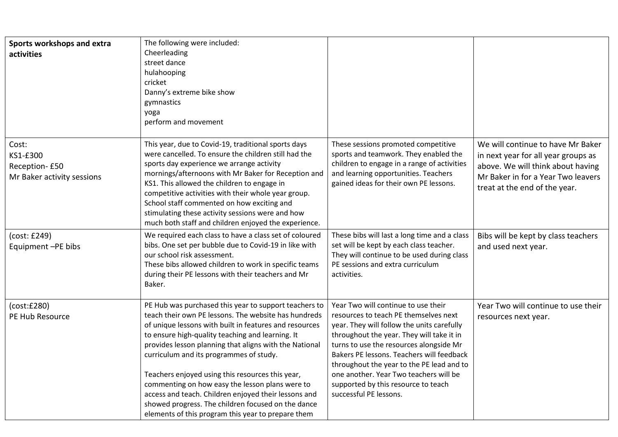| Sports workshops and extra<br>activities                         | The following were included:<br>Cheerleading<br>street dance<br>hulahooping<br>cricket<br>Danny's extreme bike show<br>gymnastics<br>yoga<br>perform and movement                                                                                                                                                                                                                                                                                                                                                                                                                                           |                                                                                                                                                                                                                                                                                                                                                                                                                         |                                                                                                                                                                                      |
|------------------------------------------------------------------|-------------------------------------------------------------------------------------------------------------------------------------------------------------------------------------------------------------------------------------------------------------------------------------------------------------------------------------------------------------------------------------------------------------------------------------------------------------------------------------------------------------------------------------------------------------------------------------------------------------|-------------------------------------------------------------------------------------------------------------------------------------------------------------------------------------------------------------------------------------------------------------------------------------------------------------------------------------------------------------------------------------------------------------------------|--------------------------------------------------------------------------------------------------------------------------------------------------------------------------------------|
| Cost:<br>KS1-£300<br>Reception-£50<br>Mr Baker activity sessions | This year, due to Covid-19, traditional sports days<br>were cancelled. To ensure the children still had the<br>sports day experience we arrange activity<br>mornings/afternoons with Mr Baker for Reception and<br>KS1. This allowed the children to engage in<br>competitive activities with their whole year group.<br>School staff commented on how exciting and<br>stimulating these activity sessions were and how<br>much both staff and children enjoyed the experience.                                                                                                                             | These sessions promoted competitive<br>sports and teamwork. They enabled the<br>children to engage in a range of activities<br>and learning opportunities. Teachers<br>gained ideas for their own PE lessons.                                                                                                                                                                                                           | We will continue to have Mr Baker<br>in next year for all year groups as<br>above. We will think about having<br>Mr Baker in for a Year Two leavers<br>treat at the end of the year. |
| (cost: £249)<br>Equipment -PE bibs                               | We required each class to have a class set of coloured<br>bibs. One set per bubble due to Covid-19 in like with<br>our school risk assessment.<br>These bibs allowed children to work in specific teams<br>during their PE lessons with their teachers and Mr<br>Baker.                                                                                                                                                                                                                                                                                                                                     | These bibs will last a long time and a class<br>set will be kept by each class teacher.<br>They will continue to be used during class<br>PE sessions and extra curriculum<br>activities.                                                                                                                                                                                                                                | Bibs will be kept by class teachers<br>and used next year.                                                                                                                           |
| (cost:£280)<br>PE Hub Resource                                   | PE Hub was purchased this year to support teachers to<br>teach their own PE lessons. The website has hundreds<br>of unique lessons with built in features and resources<br>to ensure high-quality teaching and learning. It<br>provides lesson planning that aligns with the National<br>curriculum and its programmes of study.<br>Teachers enjoyed using this resources this year,<br>commenting on how easy the lesson plans were to<br>access and teach. Children enjoyed their lessons and<br>showed progress. The children focused on the dance<br>elements of this program this year to prepare them | Year Two will continue to use their<br>resources to teach PE themselves next<br>year. They will follow the units carefully<br>throughout the year. They will take it in<br>turns to use the resources alongside Mr<br>Bakers PE lessons. Teachers will feedback<br>throughout the year to the PE lead and to<br>one another. Year Two teachers will be<br>supported by this resource to teach<br>successful PE lessons. | Year Two will continue to use their<br>resources next year.                                                                                                                          |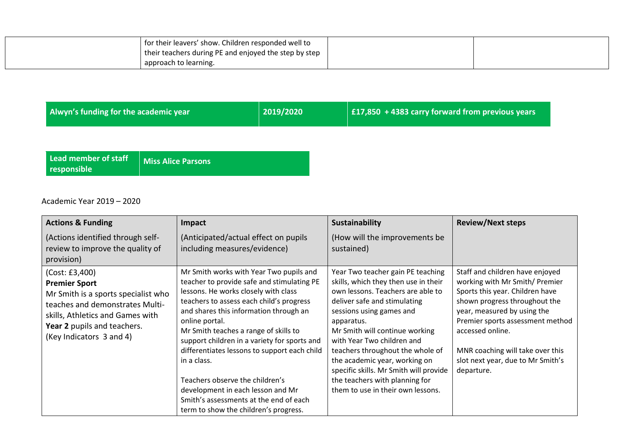| for their leavers' show. Children responded well to   |  |
|-------------------------------------------------------|--|
| their teachers during PE and enjoyed the step by step |  |
| l approach to learning.                               |  |

| Alwyn's funding for the academic year | 2019/2020 | $\vert$   £17,850 + 4383 carry forward from previous years $\vert$ |
|---------------------------------------|-----------|--------------------------------------------------------------------|
|---------------------------------------|-----------|--------------------------------------------------------------------|

**Lead member of staff responsible**

 $\Gamma$ 

**Miss Alice Parsons**

Academic Year 2019 – 2020

| <b>Actions &amp; Funding</b>                                                                                                                                                                                    | Impact                                                                                                                                                                                                                                                                                                                                                                                                                                                                                                                                                   | <b>Sustainability</b>                                                                                                                                                                                                                                                                                                                                                                                                                          | <b>Review/Next steps</b>                                                                                                                                                                                                                                                                                            |
|-----------------------------------------------------------------------------------------------------------------------------------------------------------------------------------------------------------------|----------------------------------------------------------------------------------------------------------------------------------------------------------------------------------------------------------------------------------------------------------------------------------------------------------------------------------------------------------------------------------------------------------------------------------------------------------------------------------------------------------------------------------------------------------|------------------------------------------------------------------------------------------------------------------------------------------------------------------------------------------------------------------------------------------------------------------------------------------------------------------------------------------------------------------------------------------------------------------------------------------------|---------------------------------------------------------------------------------------------------------------------------------------------------------------------------------------------------------------------------------------------------------------------------------------------------------------------|
| (Actions identified through self-<br>review to improve the quality of<br>provision)                                                                                                                             | (Anticipated/actual effect on pupils<br>including measures/evidence)                                                                                                                                                                                                                                                                                                                                                                                                                                                                                     | (How will the improvements be<br>sustained)                                                                                                                                                                                                                                                                                                                                                                                                    |                                                                                                                                                                                                                                                                                                                     |
| (Cost: £3,400)<br><b>Premier Sport</b><br>Mr Smith is a sports specialist who<br>teaches and demonstrates Multi-<br>skills, Athletics and Games with<br>Year 2 pupils and teachers.<br>(Key Indicators 3 and 4) | Mr Smith works with Year Two pupils and<br>teacher to provide safe and stimulating PE<br>lessons. He works closely with class<br>teachers to assess each child's progress<br>and shares this information through an<br>online portal.<br>Mr Smith teaches a range of skills to<br>support children in a variety for sports and<br>differentiates lessons to support each child<br>in a class.<br>Teachers observe the children's<br>development in each lesson and Mr<br>Smith's assessments at the end of each<br>term to show the children's progress. | Year Two teacher gain PE teaching<br>skills, which they then use in their<br>own lessons. Teachers are able to<br>deliver safe and stimulating<br>sessions using games and<br>apparatus.<br>Mr Smith will continue working<br>with Year Two children and<br>teachers throughout the whole of<br>the academic year, working on<br>specific skills. Mr Smith will provide<br>the teachers with planning for<br>them to use in their own lessons. | Staff and children have enjoyed<br>working with Mr Smith/ Premier<br>Sports this year. Children have<br>shown progress throughout the<br>year, measured by using the<br>Premier sports assessment method<br>accessed online.<br>MNR coaching will take over this<br>slot next year, due to Mr Smith's<br>departure. |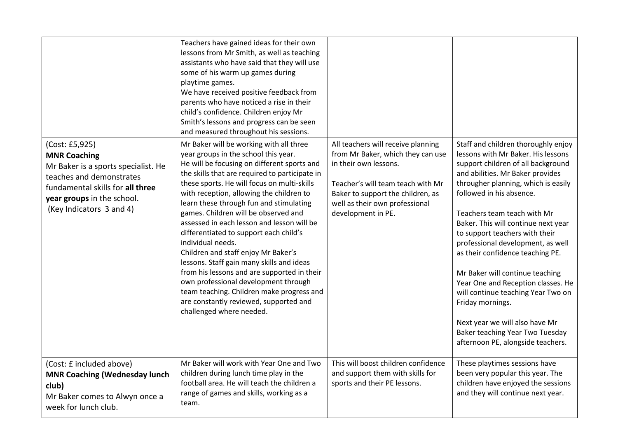| (Cost: £5,925)<br><b>MNR Coaching</b><br>Mr Baker is a sports specialist. He<br>teaches and demonstrates<br>fundamental skills for all three<br>year groups in the school.<br>(Key Indicators 3 and 4) | Teachers have gained ideas for their own<br>lessons from Mr Smith, as well as teaching<br>assistants who have said that they will use<br>some of his warm up games during<br>playtime games.<br>We have received positive feedback from<br>parents who have noticed a rise in their<br>child's confidence. Children enjoy Mr<br>Smith's lessons and progress can be seen<br>and measured throughout his sessions.<br>Mr Baker will be working with all three<br>year groups in the school this year.<br>He will be focusing on different sports and<br>the skills that are required to participate in<br>these sports. He will focus on multi-skills<br>with reception, allowing the children to<br>learn these through fun and stimulating<br>games. Children will be observed and<br>assessed in each lesson and lesson will be<br>differentiated to support each child's<br>individual needs.<br>Children and staff enjoy Mr Baker's<br>lessons. Staff gain many skills and ideas<br>from his lessons and are supported in their<br>own professional development through<br>team teaching. Children make progress and<br>are constantly reviewed, supported and<br>challenged where needed. | All teachers will receive planning<br>from Mr Baker, which they can use<br>in their own lessons.<br>Teacher's will team teach with Mr<br>Baker to support the children, as<br>well as their own professional<br>development in PE. | Staff and children thoroughly enjoy<br>lessons with Mr Baker. His lessons<br>support children of all background<br>and abilities. Mr Baker provides<br>througher planning, which is easily<br>followed in his absence.<br>Teachers team teach with Mr<br>Baker. This will continue next year<br>to support teachers with their<br>professional development, as well<br>as their confidence teaching PE.<br>Mr Baker will continue teaching<br>Year One and Reception classes. He<br>will continue teaching Year Two on<br>Friday mornings.<br>Next year we will also have Mr<br>Baker teaching Year Two Tuesday<br>afternoon PE, alongside teachers. |
|--------------------------------------------------------------------------------------------------------------------------------------------------------------------------------------------------------|------------------------------------------------------------------------------------------------------------------------------------------------------------------------------------------------------------------------------------------------------------------------------------------------------------------------------------------------------------------------------------------------------------------------------------------------------------------------------------------------------------------------------------------------------------------------------------------------------------------------------------------------------------------------------------------------------------------------------------------------------------------------------------------------------------------------------------------------------------------------------------------------------------------------------------------------------------------------------------------------------------------------------------------------------------------------------------------------------------------------------------------------------------------------------------------------|------------------------------------------------------------------------------------------------------------------------------------------------------------------------------------------------------------------------------------|------------------------------------------------------------------------------------------------------------------------------------------------------------------------------------------------------------------------------------------------------------------------------------------------------------------------------------------------------------------------------------------------------------------------------------------------------------------------------------------------------------------------------------------------------------------------------------------------------------------------------------------------------|
| (Cost: £ included above)<br><b>MNR Coaching (Wednesday lunch</b><br>club)<br>Mr Baker comes to Alwyn once a<br>week for lunch club.                                                                    | Mr Baker will work with Year One and Two<br>children during lunch time play in the<br>football area. He will teach the children a<br>range of games and skills, working as a<br>team.                                                                                                                                                                                                                                                                                                                                                                                                                                                                                                                                                                                                                                                                                                                                                                                                                                                                                                                                                                                                          | This will boost children confidence<br>and support them with skills for<br>sports and their PE lessons.                                                                                                                            | These playtimes sessions have<br>been very popular this year. The<br>children have enjoyed the sessions<br>and they will continue next year.                                                                                                                                                                                                                                                                                                                                                                                                                                                                                                         |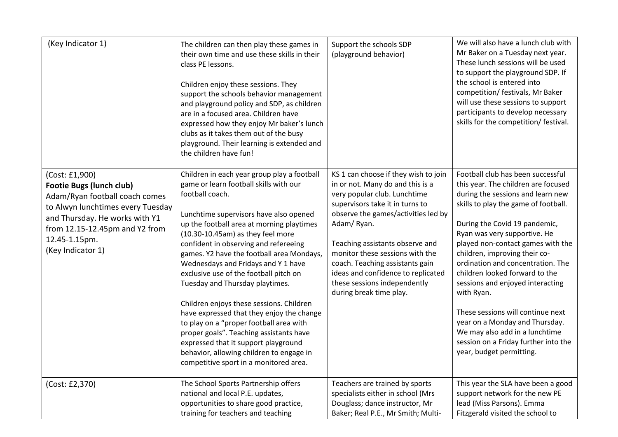| (Key Indicator 1)                                                                                                                                                                                                                  | The children can then play these games in<br>their own time and use these skills in their<br>class PE lessons.<br>Children enjoy these sessions. They<br>support the schools behavior management<br>and playground policy and SDP, as children<br>are in a focused area. Children have<br>expressed how they enjoy Mr baker's lunch<br>clubs as it takes them out of the busy<br>playground. Their learning is extended and<br>the children have fun!                                                                                                                                                                                                                                                                                                       | Support the schools SDP<br>(playground behavior)                                                                                                                                                                                                                                                                                                                                                           | We will also have a lunch club with<br>Mr Baker on a Tuesday next year.<br>These lunch sessions will be used<br>to support the playground SDP. If<br>the school is entered into<br>competition/ festivals, Mr Baker<br>will use these sessions to support<br>participants to develop necessary<br>skills for the competition/ festival.                                                                                                                                                                                                                                                            |
|------------------------------------------------------------------------------------------------------------------------------------------------------------------------------------------------------------------------------------|-------------------------------------------------------------------------------------------------------------------------------------------------------------------------------------------------------------------------------------------------------------------------------------------------------------------------------------------------------------------------------------------------------------------------------------------------------------------------------------------------------------------------------------------------------------------------------------------------------------------------------------------------------------------------------------------------------------------------------------------------------------|------------------------------------------------------------------------------------------------------------------------------------------------------------------------------------------------------------------------------------------------------------------------------------------------------------------------------------------------------------------------------------------------------------|----------------------------------------------------------------------------------------------------------------------------------------------------------------------------------------------------------------------------------------------------------------------------------------------------------------------------------------------------------------------------------------------------------------------------------------------------------------------------------------------------------------------------------------------------------------------------------------------------|
| (Cost: £1,900)<br><b>Footie Bugs (lunch club)</b><br>Adam/Ryan football coach comes<br>to Alwyn lunchtimes every Tuesday<br>and Thursday. He works with Y1<br>from 12.15-12.45pm and Y2 from<br>12.45-1.15pm.<br>(Key Indicator 1) | Children in each year group play a football<br>game or learn football skills with our<br>football coach.<br>Lunchtime supervisors have also opened<br>up the football area at morning playtimes<br>(10.30-10.45am) as they feel more<br>confident in observing and refereeing<br>games. Y2 have the football area Mondays,<br>Wednesdays and Fridays and Y 1 have<br>exclusive use of the football pitch on<br>Tuesday and Thursday playtimes.<br>Children enjoys these sessions. Children<br>have expressed that they enjoy the change<br>to play on a "proper football area with<br>proper goals". Teaching assistants have<br>expressed that it support playground<br>behavior, allowing children to engage in<br>competitive sport in a monitored area. | KS 1 can choose if they wish to join<br>in or not. Many do and this is a<br>very popular club. Lunchtime<br>supervisors take it in turns to<br>observe the games/activities led by<br>Adam/Ryan.<br>Teaching assistants observe and<br>monitor these sessions with the<br>coach. Teaching assistants gain<br>ideas and confidence to replicated<br>these sessions independently<br>during break time play. | Football club has been successful<br>this year. The children are focused<br>during the sessions and learn new<br>skills to play the game of football.<br>During the Covid 19 pandemic,<br>Ryan was very supportive. He<br>played non-contact games with the<br>children, improving their co-<br>ordination and concentration. The<br>children looked forward to the<br>sessions and enjoyed interacting<br>with Ryan.<br>These sessions will continue next<br>year on a Monday and Thursday.<br>We may also add in a lunchtime<br>session on a Friday further into the<br>year, budget permitting. |
| (Cost: £2,370)                                                                                                                                                                                                                     | The School Sports Partnership offers<br>national and local P.E. updates,<br>opportunities to share good practice,<br>training for teachers and teaching                                                                                                                                                                                                                                                                                                                                                                                                                                                                                                                                                                                                     | Teachers are trained by sports<br>specialists either in school (Mrs<br>Douglass; dance instructor, Mr<br>Baker; Real P.E., Mr Smith; Multi-                                                                                                                                                                                                                                                                | This year the SLA have been a good<br>support network for the new PE<br>lead (Miss Parsons). Emma<br>Fitzgerald visited the school to                                                                                                                                                                                                                                                                                                                                                                                                                                                              |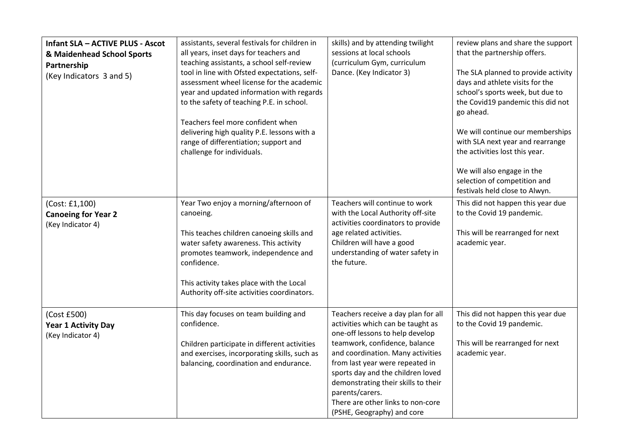| <b>Infant SLA - ACTIVE PLUS - Ascot</b><br>& Maidenhead School Sports<br>Partnership<br>(Key Indicators 3 and 5) | assistants, several festivals for children in<br>all years, inset days for teachers and<br>teaching assistants, a school self-review<br>tool in line with Ofsted expectations, self-<br>assessment wheel license for the academic<br>year and updated information with regards<br>to the safety of teaching P.E. in school.<br>Teachers feel more confident when<br>delivering high quality P.E. lessons with a<br>range of differentiation; support and<br>challenge for individuals. | skills) and by attending twilight<br>sessions at local schools<br>(curriculum Gym, curriculum<br>Dance. (Key Indicator 3)                                                                                                                                                                                                                                                              | review plans and share the support<br>that the partnership offers.<br>The SLA planned to provide activity<br>days and athlete visits for the<br>school's sports week, but due to<br>the Covid19 pandemic this did not<br>go ahead.<br>We will continue our memberships<br>with SLA next year and rearrange<br>the activities lost this year.<br>We will also engage in the<br>selection of competition and<br>festivals held close to Alwyn. |
|------------------------------------------------------------------------------------------------------------------|----------------------------------------------------------------------------------------------------------------------------------------------------------------------------------------------------------------------------------------------------------------------------------------------------------------------------------------------------------------------------------------------------------------------------------------------------------------------------------------|----------------------------------------------------------------------------------------------------------------------------------------------------------------------------------------------------------------------------------------------------------------------------------------------------------------------------------------------------------------------------------------|----------------------------------------------------------------------------------------------------------------------------------------------------------------------------------------------------------------------------------------------------------------------------------------------------------------------------------------------------------------------------------------------------------------------------------------------|
| (Cost: £1,100)<br><b>Canoeing for Year 2</b><br>(Key Indicator 4)                                                | Year Two enjoy a morning/afternoon of<br>canoeing.<br>This teaches children canoeing skills and<br>water safety awareness. This activity<br>promotes teamwork, independence and<br>confidence.<br>This activity takes place with the Local<br>Authority off-site activities coordinators.                                                                                                                                                                                              | Teachers will continue to work<br>with the Local Authority off-site<br>activities coordinators to provide<br>age related activities.<br>Children will have a good<br>understanding of water safety in<br>the future.                                                                                                                                                                   | This did not happen this year due<br>to the Covid 19 pandemic.<br>This will be rearranged for next<br>academic year.                                                                                                                                                                                                                                                                                                                         |
| (Cost £500)<br><b>Year 1 Activity Day</b><br>(Key Indicator 4)                                                   | This day focuses on team building and<br>confidence.<br>Children participate in different activities<br>and exercises, incorporating skills, such as<br>balancing, coordination and endurance.                                                                                                                                                                                                                                                                                         | Teachers receive a day plan for all<br>activities which can be taught as<br>one-off lessons to help develop<br>teamwork, confidence, balance<br>and coordination. Many activities<br>from last year were repeated in<br>sports day and the children loved<br>demonstrating their skills to their<br>parents/carers.<br>There are other links to non-core<br>(PSHE, Geography) and core | This did not happen this year due<br>to the Covid 19 pandemic.<br>This will be rearranged for next<br>academic year.                                                                                                                                                                                                                                                                                                                         |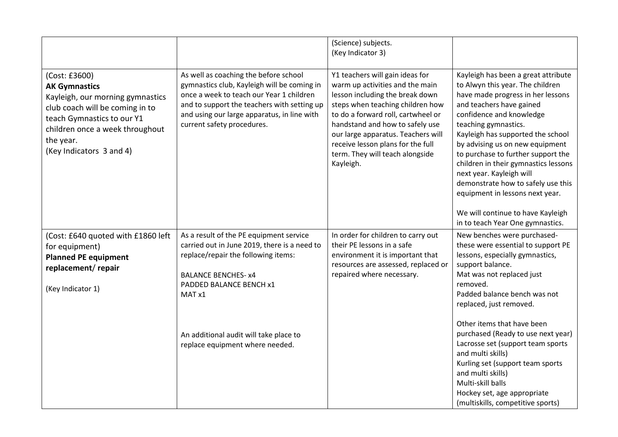|                                                                                                                                                                                                                        |                                                                                                                                                                                                                                                                                | (Science) subjects.<br>(Key Indicator 3)                                                                                                                                                                                                                                                                                                      |                                                                                                                                                                                                                                                                                                                                                                                                                                                                                                                                  |
|------------------------------------------------------------------------------------------------------------------------------------------------------------------------------------------------------------------------|--------------------------------------------------------------------------------------------------------------------------------------------------------------------------------------------------------------------------------------------------------------------------------|-----------------------------------------------------------------------------------------------------------------------------------------------------------------------------------------------------------------------------------------------------------------------------------------------------------------------------------------------|----------------------------------------------------------------------------------------------------------------------------------------------------------------------------------------------------------------------------------------------------------------------------------------------------------------------------------------------------------------------------------------------------------------------------------------------------------------------------------------------------------------------------------|
| (Cost: £3600)<br><b>AK Gymnastics</b><br>Kayleigh, our morning gymnastics<br>club coach will be coming in to<br>teach Gymnastics to our Y1<br>children once a week throughout<br>the year.<br>(Key Indicators 3 and 4) | As well as coaching the before school<br>gymnastics club, Kayleigh will be coming in<br>once a week to teach our Year 1 children<br>and to support the teachers with setting up<br>and using our large apparatus, in line with<br>current safety procedures.                   | Y1 teachers will gain ideas for<br>warm up activities and the main<br>lesson including the break down<br>steps when teaching children how<br>to do a forward roll, cartwheel or<br>handstand and how to safely use<br>our large apparatus. Teachers will<br>receive lesson plans for the full<br>term. They will teach alongside<br>Kayleigh. | Kayleigh has been a great attribute<br>to Alwyn this year. The children<br>have made progress in her lessons<br>and teachers have gained<br>confidence and knowledge<br>teaching gymnastics.<br>Kayleigh has supported the school<br>by advising us on new equipment<br>to purchase to further support the<br>children in their gymnastics lessons<br>next year. Kayleigh will<br>demonstrate how to safely use this<br>equipment in lessons next year.<br>We will continue to have Kayleigh<br>in to teach Year One gymnastics. |
| (Cost: £640 quoted with £1860 left<br>for equipment)<br><b>Planned PE equipment</b><br>replacement/repair<br>(Key Indicator 1)                                                                                         | As a result of the PE equipment service<br>carried out in June 2019, there is a need to<br>replace/repair the following items:<br><b>BALANCE BENCHES- x4</b><br>PADDED BALANCE BENCH x1<br>MAT x1<br>An additional audit will take place to<br>replace equipment where needed. | In order for children to carry out<br>their PE lessons in a safe<br>environment it is important that<br>resources are assessed, replaced or<br>repaired where necessary.                                                                                                                                                                      | New benches were purchased-<br>these were essential to support PE<br>lessons, especially gymnastics,<br>support balance.<br>Mat was not replaced just<br>removed.<br>Padded balance bench was not<br>replaced, just removed.<br>Other items that have been<br>purchased (Ready to use next year)<br>Lacrosse set (support team sports<br>and multi skills)<br>Kurling set (support team sports<br>and multi skills)<br>Multi-skill balls<br>Hockey set, age appropriate<br>(multiskills, competitive sports)                     |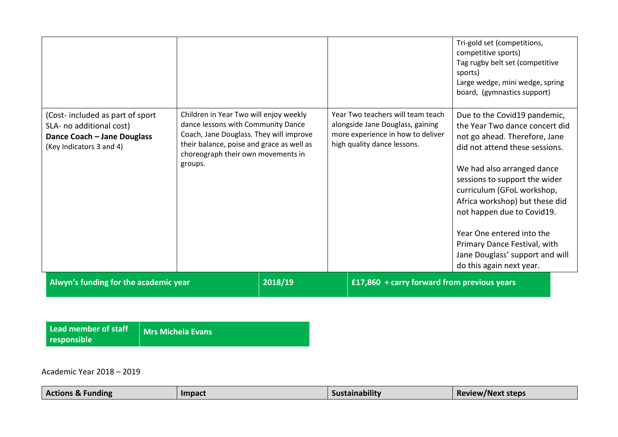|                                                                                                                         |                                                                                                                                                                                                                       |         |                                                                                                                                           | Tri-gold set (competitions,<br>competitive sports)<br>Tag rugby belt set (competitive<br>sports)<br>Large wedge, mini wedge, spring<br>board, (gymnastics support)                                                                                                                                                                                                                                                         |
|-------------------------------------------------------------------------------------------------------------------------|-----------------------------------------------------------------------------------------------------------------------------------------------------------------------------------------------------------------------|---------|-------------------------------------------------------------------------------------------------------------------------------------------|----------------------------------------------------------------------------------------------------------------------------------------------------------------------------------------------------------------------------------------------------------------------------------------------------------------------------------------------------------------------------------------------------------------------------|
| (Cost-included as part of sport)<br>SLA- no additional cost)<br>Dance Coach - Jane Douglass<br>(Key Indicators 3 and 4) | Children in Year Two will enjoy weekly<br>dance lessons with Community Dance<br>Coach, Jane Douglass. They will improve<br>their balance, poise and grace as well as<br>choreograph their own movements in<br>groups. |         | Year Two teachers will team teach<br>alongside Jane Douglass, gaining<br>more experience in how to deliver<br>high quality dance lessons. | Due to the Covid19 pandemic,<br>the Year Two dance concert did<br>not go ahead. Therefore, Jane<br>did not attend these sessions.<br>We had also arranged dance<br>sessions to support the wider<br>curriculum (GFoL workshop,<br>Africa workshop) but these did<br>not happen due to Covid19.<br>Year One entered into the<br>Primary Dance Festival, with<br>Jane Douglass' support and will<br>do this again next year. |
| Alwyn's funding for the academic year                                                                                   |                                                                                                                                                                                                                       | 2018/19 | £17,860 + carry forward from previous years                                                                                               |                                                                                                                                                                                                                                                                                                                                                                                                                            |

| Lead member of staff | Mrs Michela Evans |
|----------------------|-------------------|
| responsible          |                   |

Academic Year 2018 – 2019

| <b>Actions &amp; Funding</b> | Impact | <br>istainability<br>sus <sup>.</sup> | Review/Next steps |
|------------------------------|--------|---------------------------------------|-------------------|
|------------------------------|--------|---------------------------------------|-------------------|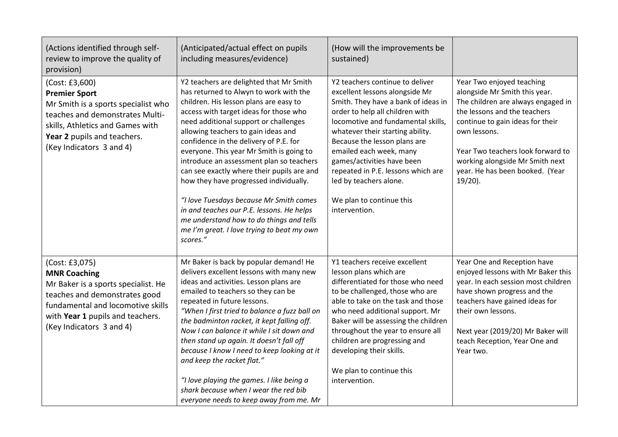| (Actions identified through self-<br>review to improve the quality of<br>provision)                                                                                                                                | (Anticipated/actual effect on pupils<br>including measures/evidence)                                                                                                                                                                                                                                                                                                                                                                                                                                                                                                                                                                                                          | (How will the improvements be<br>sustained)                                                                                                                                                                                                                                                                                                                                                                                 |                                                                                                                                                                                                                                                                                                               |
|--------------------------------------------------------------------------------------------------------------------------------------------------------------------------------------------------------------------|-------------------------------------------------------------------------------------------------------------------------------------------------------------------------------------------------------------------------------------------------------------------------------------------------------------------------------------------------------------------------------------------------------------------------------------------------------------------------------------------------------------------------------------------------------------------------------------------------------------------------------------------------------------------------------|-----------------------------------------------------------------------------------------------------------------------------------------------------------------------------------------------------------------------------------------------------------------------------------------------------------------------------------------------------------------------------------------------------------------------------|---------------------------------------------------------------------------------------------------------------------------------------------------------------------------------------------------------------------------------------------------------------------------------------------------------------|
| (Cost: £3,600)<br><b>Premier Sport</b><br>Mr Smith is a sports specialist who<br>teaches and demonstrates Multi-<br>skills, Athletics and Games with<br>Year 2 pupils and teachers.<br>(Key Indicators 3 and 4)    | Y2 teachers are delighted that Mr Smith<br>has returned to Alwyn to work with the<br>children. His lesson plans are easy to<br>access with target ideas for those who<br>need additional support or challenges<br>allowing teachers to gain ideas and<br>confidence in the delivery of P.E. for<br>everyone. This year Mr Smith is going to<br>introduce an assessment plan so teachers<br>can see exactly where their pupils are and<br>how they have progressed individually.<br>"I love Tuesdays because Mr Smith comes<br>in and teaches our P.E. lessons. He helps<br>me understand how to do things and tells<br>me I'm great. I love trying to beat my own<br>scores." | Y2 teachers continue to deliver<br>excellent lessons alongside Mr<br>Smith. They have a bank of ideas in<br>order to help all children with<br>locomotive and fundamental skills,<br>whatever their starting ability.<br>Because the lesson plans are<br>emailed each week, many<br>games/activities have been<br>repeated in P.E. lessons which are<br>led by teachers alone.<br>We plan to continue this<br>intervention. | Year Two enjoyed teaching<br>alongside Mr Smith this year.<br>The children are always engaged in<br>the lessons and the teachers<br>continue to gain ideas for their<br>own lessons.<br>Year Two teachers look forward to<br>working alongside Mr Smith next<br>year. He has been booked. (Year<br>$19/20$ ). |
| (Cost: £3,075)<br><b>MNR Coaching</b><br>Mr Baker is a sports specialist. He<br>teaches and demonstrates good<br>fundamental and locomotive skills<br>with Year 1 pupils and teachers.<br>(Key Indicators 3 and 4) | Mr Baker is back by popular demand! He<br>delivers excellent lessons with many new<br>ideas and activities. Lesson plans are<br>emailed to teachers so they can be<br>repeated in future lessons.<br>"When I first tried to balance a fuzz ball on<br>the badminton racket, it kept falling off.<br>Now I can balance it while I sit down and<br>then stand up again. It doesn't fall off<br>because I know I need to keep looking at it<br>and keep the racket flat."<br>"I love playing the games. I like being a<br>shark because when I wear the red bib<br>everyone needs to keep away from me. Mr                                                                       | Y1 teachers receive excellent<br>lesson plans which are<br>differentiated for those who need<br>to be challenged, those who are<br>able to take on the task and those<br>who need additional support. Mr<br>Baker will be assessing the children<br>throughout the year to ensure all<br>children are progressing and<br>developing their skills.<br>We plan to continue this<br>intervention.                              | Year One and Reception have<br>enjoyed lessons with Mr Baker this<br>year. In each session most children<br>have shown progress and the<br>teachers have gained ideas for<br>their own lessons.<br>Next year (2019/20) Mr Baker will<br>teach Reception, Year One and<br>Year two.                            |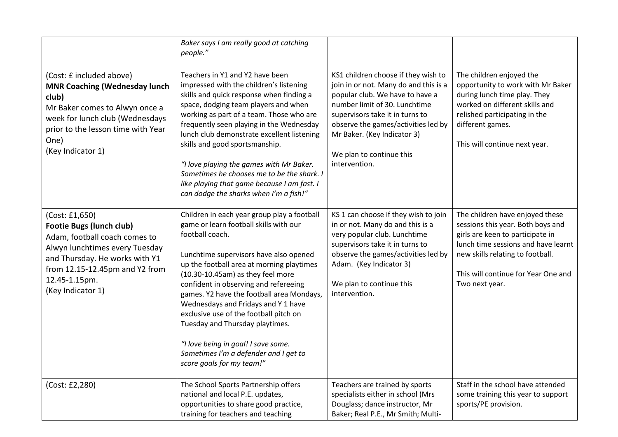|                                                                                                                                                                                                                                | Baker says I am really good at catching<br>people."                                                                                                                                                                                                                                                                                                                                                                                                                                                                                                         |                                                                                                                                                                                                                                                                                                        |                                                                                                                                                                                                                                              |
|--------------------------------------------------------------------------------------------------------------------------------------------------------------------------------------------------------------------------------|-------------------------------------------------------------------------------------------------------------------------------------------------------------------------------------------------------------------------------------------------------------------------------------------------------------------------------------------------------------------------------------------------------------------------------------------------------------------------------------------------------------------------------------------------------------|--------------------------------------------------------------------------------------------------------------------------------------------------------------------------------------------------------------------------------------------------------------------------------------------------------|----------------------------------------------------------------------------------------------------------------------------------------------------------------------------------------------------------------------------------------------|
| (Cost: £ included above)<br><b>MNR Coaching (Wednesday lunch</b><br>club)<br>Mr Baker comes to Alwyn once a<br>week for lunch club (Wednesdays<br>prior to the lesson time with Year<br>One)<br>(Key Indicator 1)              | Teachers in Y1 and Y2 have been<br>impressed with the children's listening<br>skills and quick response when finding a<br>space, dodging team players and when<br>working as part of a team. Those who are<br>frequently seen playing in the Wednesday<br>lunch club demonstrate excellent listening<br>skills and good sportsmanship.<br>"I love playing the games with Mr Baker.<br>Sometimes he chooses me to be the shark. I<br>like playing that game because I am fast. I<br>can dodge the sharks when I'm a fish!"                                   | KS1 children choose if they wish to<br>join in or not. Many do and this is a<br>popular club. We have to have a<br>number limit of 30. Lunchtime<br>supervisors take it in turns to<br>observe the games/activities led by<br>Mr Baker. (Key Indicator 3)<br>We plan to continue this<br>intervention. | The children enjoyed the<br>opportunity to work with Mr Baker<br>during lunch time play. They<br>worked on different skills and<br>relished participating in the<br>different games.<br>This will continue next year.                        |
| (Cost: £1,650)<br><b>Footie Bugs (lunch club)</b><br>Adam, football coach comes to<br>Alwyn lunchtimes every Tuesday<br>and Thursday. He works with Y1<br>from 12.15-12.45pm and Y2 from<br>12.45-1.15pm.<br>(Key Indicator 1) | Children in each year group play a football<br>game or learn football skills with our<br>football coach.<br>Lunchtime supervisors have also opened<br>up the football area at morning playtimes<br>(10.30-10.45am) as they feel more<br>confident in observing and refereeing<br>games. Y2 have the football area Mondays,<br>Wednesdays and Fridays and Y 1 have<br>exclusive use of the football pitch on<br>Tuesday and Thursday playtimes.<br>"I love being in goal! I save some.<br>Sometimes I'm a defender and I get to<br>score goals for my team!" | KS 1 can choose if they wish to join<br>in or not. Many do and this is a<br>very popular club. Lunchtime<br>supervisors take it in turns to<br>observe the games/activities led by<br>Adam. (Key Indicator 3)<br>We plan to continue this<br>intervention.                                             | The children have enjoyed these<br>sessions this year. Both boys and<br>girls are keen to participate in<br>lunch time sessions and have learnt<br>new skills relating to football.<br>This will continue for Year One and<br>Two next year. |
| (Cost: £2,280)                                                                                                                                                                                                                 | The School Sports Partnership offers<br>national and local P.E. updates,<br>opportunities to share good practice,<br>training for teachers and teaching                                                                                                                                                                                                                                                                                                                                                                                                     | Teachers are trained by sports<br>specialists either in school (Mrs<br>Douglass; dance instructor, Mr<br>Baker; Real P.E., Mr Smith; Multi-                                                                                                                                                            | Staff in the school have attended<br>some training this year to support<br>sports/PE provision.                                                                                                                                              |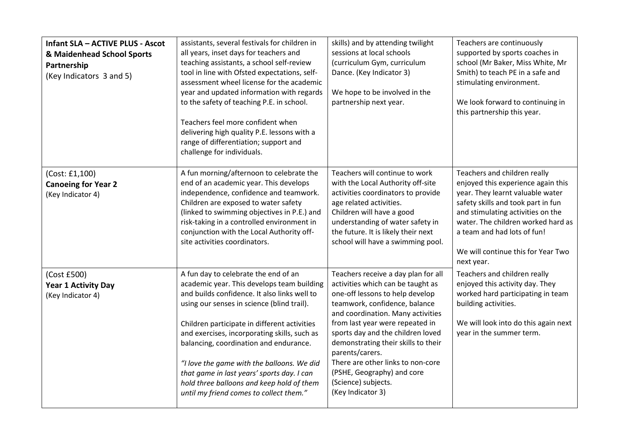| <b>Infant SLA - ACTIVE PLUS - Ascot</b><br>& Maidenhead School Sports<br>Partnership<br>(Key Indicators 3 and 5) | assistants, several festivals for children in<br>all years, inset days for teachers and<br>teaching assistants, a school self-review<br>tool in line with Ofsted expectations, self-<br>assessment wheel license for the academic<br>year and updated information with regards<br>to the safety of teaching P.E. in school.<br>Teachers feel more confident when<br>delivering high quality P.E. lessons with a<br>range of differentiation; support and<br>challenge for individuals.                         | skills) and by attending twilight<br>sessions at local schools<br>(curriculum Gym, curriculum<br>Dance. (Key Indicator 3)<br>We hope to be involved in the<br>partnership next year.                                                                                                                                                                                                                                               | Teachers are continuously<br>supported by sports coaches in<br>school (Mr Baker, Miss White, Mr<br>Smith) to teach PE in a safe and<br>stimulating environment.<br>We look forward to continuing in<br>this partnership this year.                                                                         |
|------------------------------------------------------------------------------------------------------------------|----------------------------------------------------------------------------------------------------------------------------------------------------------------------------------------------------------------------------------------------------------------------------------------------------------------------------------------------------------------------------------------------------------------------------------------------------------------------------------------------------------------|------------------------------------------------------------------------------------------------------------------------------------------------------------------------------------------------------------------------------------------------------------------------------------------------------------------------------------------------------------------------------------------------------------------------------------|------------------------------------------------------------------------------------------------------------------------------------------------------------------------------------------------------------------------------------------------------------------------------------------------------------|
| (Cost: £1,100)<br><b>Canoeing for Year 2</b><br>(Key Indicator 4)                                                | A fun morning/afternoon to celebrate the<br>end of an academic year. This develops<br>independence, confidence and teamwork.<br>Children are exposed to water safety<br>(linked to swimming objectives in P.E.) and<br>risk-taking in a controlled environment in<br>conjunction with the Local Authority off-<br>site activities coordinators.                                                                                                                                                                | Teachers will continue to work<br>with the Local Authority off-site<br>activities coordinators to provide<br>age related activities.<br>Children will have a good<br>understanding of water safety in<br>the future. It is likely their next<br>school will have a swimming pool.                                                                                                                                                  | Teachers and children really<br>enjoyed this experience again this<br>year. They learnt valuable water<br>safety skills and took part in fun<br>and stimulating activities on the<br>water. The children worked hard as<br>a team and had lots of fun!<br>We will continue this for Year Two<br>next year. |
| (Cost £500)<br><b>Year 1 Activity Day</b><br>(Key Indicator 4)                                                   | A fun day to celebrate the end of an<br>academic year. This develops team building<br>and builds confidence. It also links well to<br>using our senses in science (blind trail).<br>Children participate in different activities<br>and exercises, incorporating skills, such as<br>balancing, coordination and endurance.<br>"I love the game with the balloons. We did<br>that game in last years' sports day. I can<br>hold three balloons and keep hold of them<br>until my friend comes to collect them." | Teachers receive a day plan for all<br>activities which can be taught as<br>one-off lessons to help develop<br>teamwork, confidence, balance<br>and coordination. Many activities<br>from last year were repeated in<br>sports day and the children loved<br>demonstrating their skills to their<br>parents/carers.<br>There are other links to non-core<br>(PSHE, Geography) and core<br>(Science) subjects.<br>(Key Indicator 3) | Teachers and children really<br>enjoyed this activity day. They<br>worked hard participating in team<br>building activities.<br>We will look into do this again next<br>year in the summer term.                                                                                                           |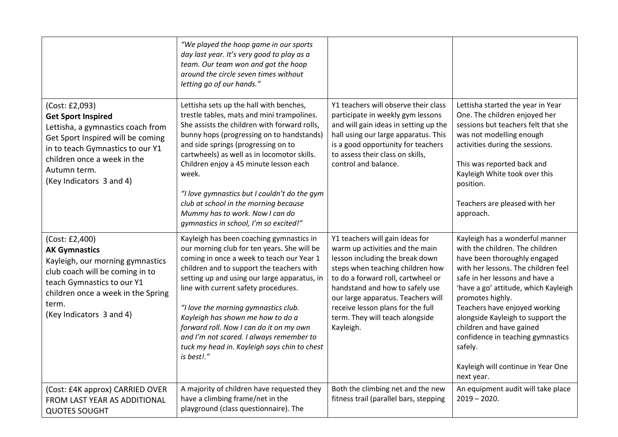|                                                                                                                                                                                                                                      | "We played the hoop game in our sports<br>day last year. It's very good to play as a<br>team. Our team won and got the hoop<br>around the circle seven times without<br>letting go of our hands."                                                                                                                                                                                                                                                                                                           |                                                                                                                                                                                                                                                                                                                                               |                                                                                                                                                                                                                                                                                                                                                                                                                                               |
|--------------------------------------------------------------------------------------------------------------------------------------------------------------------------------------------------------------------------------------|-------------------------------------------------------------------------------------------------------------------------------------------------------------------------------------------------------------------------------------------------------------------------------------------------------------------------------------------------------------------------------------------------------------------------------------------------------------------------------------------------------------|-----------------------------------------------------------------------------------------------------------------------------------------------------------------------------------------------------------------------------------------------------------------------------------------------------------------------------------------------|-----------------------------------------------------------------------------------------------------------------------------------------------------------------------------------------------------------------------------------------------------------------------------------------------------------------------------------------------------------------------------------------------------------------------------------------------|
| (Cost: £2,093)<br><b>Get Sport Inspired</b><br>Lettisha, a gymnastics coach from<br>Get Sport Inspired will be coming<br>in to teach Gymnastics to our Y1<br>children once a week in the<br>Autumn term.<br>(Key Indicators 3 and 4) | Lettisha sets up the hall with benches,<br>trestle tables, mats and mini trampolines.<br>She assists the children with forward rolls,<br>bunny hops (progressing on to handstands)<br>and side springs (progressing on to<br>cartwheels) as well as in locomotor skills.<br>Children enjoy a 45 minute lesson each<br>week.<br>"I love gymnastics but I couldn't do the gym<br>club at school in the morning because<br>Mummy has to work. Now I can do<br>gymnastics in school, I'm so excited!"           | Y1 teachers will observe their class<br>participate in weekly gym lessons<br>and will gain ideas in setting up the<br>hall using our large apparatus. This<br>is a good opportunity for teachers<br>to assess their class on skills,<br>control and balance.                                                                                  | Lettisha started the year in Year<br>One. The children enjoyed her<br>sessions but teachers felt that she<br>was not modelling enough<br>activities during the sessions.<br>This was reported back and<br>Kayleigh White took over this<br>position.<br>Teachers are pleased with her<br>approach.                                                                                                                                            |
| (Cost: £2,400)<br><b>AK Gymnastics</b><br>Kayleigh, our morning gymnastics<br>club coach will be coming in to<br>teach Gymnastics to our Y1<br>children once a week in the Spring<br>term.<br>(Key Indicators 3 and 4)               | Kayleigh has been coaching gymnastics in<br>our morning club for ten years. She will be<br>coming in once a week to teach our Year 1<br>children and to support the teachers with<br>setting up and using our large apparatus, in<br>line with current safety procedures.<br>"I love the morning gymnastics club.<br>Kayleigh has shown me how to do a<br>forward roll. Now I can do it on my own<br>and I'm not scared. I always remember to<br>tuck my head in. Kayleigh says chin to chest<br>is best!." | Y1 teachers will gain ideas for<br>warm up activities and the main<br>lesson including the break down<br>steps when teaching children how<br>to do a forward roll, cartwheel or<br>handstand and how to safely use<br>our large apparatus. Teachers will<br>receive lesson plans for the full<br>term. They will teach alongside<br>Kayleigh. | Kayleigh has a wonderful manner<br>with the children. The children<br>have been thoroughly engaged<br>with her lessons. The children feel<br>safe in her lessons and have a<br>'have a go' attitude, which Kayleigh<br>promotes highly.<br>Teachers have enjoyed working<br>alongside Kayleigh to support the<br>children and have gained<br>confidence in teaching gymnastics<br>safely.<br>Kayleigh will continue in Year One<br>next year. |
| (Cost: £4K approx) CARRIED OVER<br>FROM LAST YEAR AS ADDITIONAL<br><b>QUOTES SOUGHT</b>                                                                                                                                              | A majority of children have requested they<br>have a climbing frame/net in the<br>playground (class questionnaire). The                                                                                                                                                                                                                                                                                                                                                                                     | Both the climbing net and the new<br>fitness trail (parallel bars, stepping                                                                                                                                                                                                                                                                   | An equipment audit will take place<br>$2019 - 2020.$                                                                                                                                                                                                                                                                                                                                                                                          |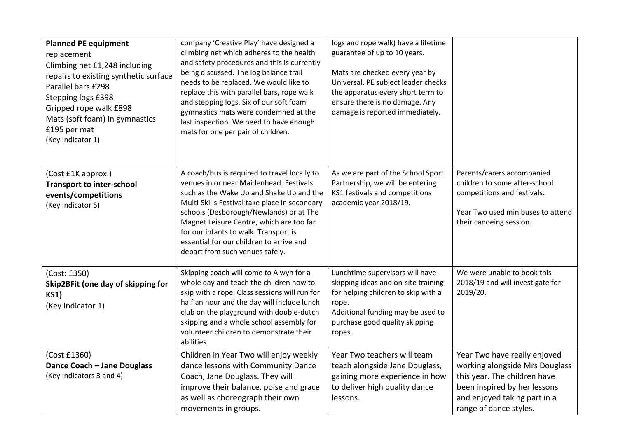| <b>Planned PE equipment</b><br>replacement<br>Climbing net £1,248 including<br>repairs to existing synthetic surface<br>Parallel bars £298<br>Stepping logs £398<br>Gripped rope walk £898<br>Mats (soft foam) in gymnastics<br>£195 per mat<br>(Key Indicator 1) | company 'Creative Play' have designed a<br>climbing net which adheres to the health<br>and safety procedures and this is currently<br>being discussed. The log balance trail<br>needs to be replaced. We would like to<br>replace this with parallel bars, rope walk<br>and stepping logs. Six of our soft foam<br>gymnastics mats were condemned at the<br>last inspection. We need to have enough<br>mats for one per pair of children. | logs and rope walk) have a lifetime<br>guarantee of up to 10 years.<br>Mats are checked every year by<br>Universal. PE subject leader checks<br>the apparatus every short term to<br>ensure there is no damage. Any<br>damage is reported immediately. |                                                                                                                                                                                          |
|-------------------------------------------------------------------------------------------------------------------------------------------------------------------------------------------------------------------------------------------------------------------|-------------------------------------------------------------------------------------------------------------------------------------------------------------------------------------------------------------------------------------------------------------------------------------------------------------------------------------------------------------------------------------------------------------------------------------------|--------------------------------------------------------------------------------------------------------------------------------------------------------------------------------------------------------------------------------------------------------|------------------------------------------------------------------------------------------------------------------------------------------------------------------------------------------|
| (Cost £1K approx.)<br><b>Transport to inter-school</b><br>events/competitions<br>(Key Indicator 5)                                                                                                                                                                | A coach/bus is required to travel locally to<br>venues in or near Maidenhead. Festivals<br>such as the Wake Up and Shake Up and the<br>Multi-Skills Festival take place in secondary<br>schools (Desborough/Newlands) or at The<br>Magnet Leisure Centre, which are too far<br>for our infants to walk. Transport is<br>essential for our children to arrive and<br>depart from such venues safely.                                       | As we are part of the School Sport<br>Partnership, we will be entering<br>KS1 festivals and competitions<br>academic year 2018/19.                                                                                                                     | Parents/carers accompanied<br>children to some after-school<br>competitions and festivals.<br>Year Two used minibuses to attend<br>their canoeing session.                               |
| (Cost: £350)<br>Skip2BFit (one day of skipping for<br><b>KS1)</b><br>(Key Indicator 1)                                                                                                                                                                            | Skipping coach will come to Alwyn for a<br>whole day and teach the children how to<br>skip with a rope. Class sessions will run for<br>half an hour and the day will include lunch<br>club on the playground with double-dutch<br>skipping and a whole school assembly for<br>volunteer children to demonstrate their<br>abilities.                                                                                                       | Lunchtime supervisors will have<br>skipping ideas and on-site training<br>for helping children to skip with a<br>rope.<br>Additional funding may be used to<br>purchase good quality skipping<br>ropes.                                                | We were unable to book this<br>2018/19 and will investigate for<br>2019/20.                                                                                                              |
| (Cost £1360)<br>Dance Coach - Jane Douglass<br>(Key Indicators 3 and 4)                                                                                                                                                                                           | Children in Year Two will enjoy weekly<br>dance lessons with Community Dance<br>Coach, Jane Douglass. They will<br>improve their balance, poise and grace<br>as well as choreograph their own<br>movements in groups.                                                                                                                                                                                                                     | Year Two teachers will team<br>teach alongside Jane Douglass,<br>gaining more experience in how<br>to deliver high quality dance<br>lessons.                                                                                                           | Year Two have really enjoyed<br>working alongside Mrs Douglass<br>this year. The children have<br>been inspired by her lessons<br>and enjoyed taking part in a<br>range of dance styles. |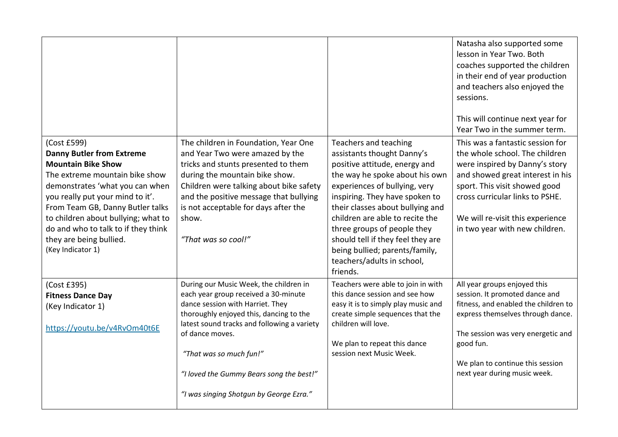|                                                                                                                                                                                                                                                                                                                                                         |                                                                                                                                                                                                                                                                                                                                                   |                                                                                                                                                                                                                                                                                                                                                                                                                  | Natasha also supported some<br>lesson in Year Two. Both<br>coaches supported the children<br>in their end of year production<br>and teachers also enjoyed the<br>sessions.<br>This will continue next year for<br>Year Two in the summer term.                                     |
|---------------------------------------------------------------------------------------------------------------------------------------------------------------------------------------------------------------------------------------------------------------------------------------------------------------------------------------------------------|---------------------------------------------------------------------------------------------------------------------------------------------------------------------------------------------------------------------------------------------------------------------------------------------------------------------------------------------------|------------------------------------------------------------------------------------------------------------------------------------------------------------------------------------------------------------------------------------------------------------------------------------------------------------------------------------------------------------------------------------------------------------------|------------------------------------------------------------------------------------------------------------------------------------------------------------------------------------------------------------------------------------------------------------------------------------|
| (Cost £599)<br><b>Danny Butler from Extreme</b><br><b>Mountain Bike Show</b><br>The extreme mountain bike show<br>demonstrates 'what you can when<br>you really put your mind to it'.<br>From Team GB, Danny Butler talks<br>to children about bullying; what to<br>do and who to talk to if they think<br>they are being bullied.<br>(Key Indicator 1) | The children in Foundation, Year One<br>and Year Two were amazed by the<br>tricks and stunts presented to them<br>during the mountain bike show.<br>Children were talking about bike safety<br>and the positive message that bullying<br>is not acceptable for days after the<br>show.<br>"That was so cool!"                                     | Teachers and teaching<br>assistants thought Danny's<br>positive attitude, energy and<br>the way he spoke about his own<br>experiences of bullying, very<br>inspiring. They have spoken to<br>their classes about bullying and<br>children are able to recite the<br>three groups of people they<br>should tell if they feel they are<br>being bullied; parents/family,<br>teachers/adults in school,<br>friends. | This was a fantastic session for<br>the whole school. The children<br>were inspired by Danny's story<br>and showed great interest in his<br>sport. This visit showed good<br>cross curricular links to PSHE.<br>We will re-visit this experience<br>in two year with new children. |
| (Cost £395)<br><b>Fitness Dance Day</b><br>(Key Indicator 1)<br>https://youtu.be/v4RvOm40t6E                                                                                                                                                                                                                                                            | During our Music Week, the children in<br>each year group received a 30-minute<br>dance session with Harriet. They<br>thoroughly enjoyed this, dancing to the<br>latest sound tracks and following a variety<br>of dance moves.<br>"That was so much fun!"<br>"I loved the Gummy Bears song the best!"<br>"I was singing Shotgun by George Ezra." | Teachers were able to join in with<br>this dance session and see how<br>easy it is to simply play music and<br>create simple sequences that the<br>children will love.<br>We plan to repeat this dance<br>session next Music Week.                                                                                                                                                                               | All year groups enjoyed this<br>session. It promoted dance and<br>fitness, and enabled the children to<br>express themselves through dance.<br>The session was very energetic and<br>good fun.<br>We plan to continue this session<br>next year during music week.                 |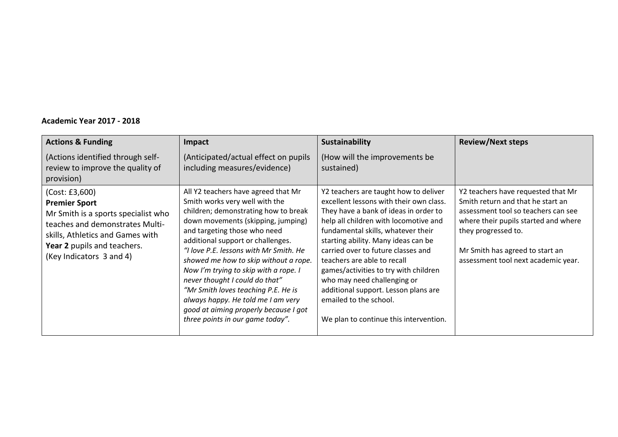## **Academic Year 2017 - 2018**

| <b>Actions &amp; Funding</b>                                                                                                                                                                                    | Impact                                                                                                                                                                                                                                                                                                                                                                                                                                                                                                                                           | <b>Sustainability</b>                                                                                                                                                                                                                                                                                                                                                                                                                                                                                    | <b>Review/Next steps</b>                                                                                                                                                                                                                                |
|-----------------------------------------------------------------------------------------------------------------------------------------------------------------------------------------------------------------|--------------------------------------------------------------------------------------------------------------------------------------------------------------------------------------------------------------------------------------------------------------------------------------------------------------------------------------------------------------------------------------------------------------------------------------------------------------------------------------------------------------------------------------------------|----------------------------------------------------------------------------------------------------------------------------------------------------------------------------------------------------------------------------------------------------------------------------------------------------------------------------------------------------------------------------------------------------------------------------------------------------------------------------------------------------------|---------------------------------------------------------------------------------------------------------------------------------------------------------------------------------------------------------------------------------------------------------|
| (Actions identified through self-<br>review to improve the quality of<br>provision)                                                                                                                             | (Anticipated/actual effect on pupils<br>including measures/evidence)                                                                                                                                                                                                                                                                                                                                                                                                                                                                             | (How will the improvements be<br>sustained)                                                                                                                                                                                                                                                                                                                                                                                                                                                              |                                                                                                                                                                                                                                                         |
| (Cost: E3,600)<br><b>Premier Sport</b><br>Mr Smith is a sports specialist who<br>teaches and demonstrates Multi-<br>skills, Athletics and Games with<br>Year 2 pupils and teachers.<br>(Key Indicators 3 and 4) | All Y2 teachers have agreed that Mr<br>Smith works very well with the<br>children; demonstrating how to break<br>down movements (skipping, jumping)<br>and targeting those who need<br>additional support or challenges.<br>"I love P.E. lessons with Mr Smith. He<br>showed me how to skip without a rope.<br>Now I'm trying to skip with a rope. I<br>never thought I could do that"<br>"Mr Smith loves teaching P.E. He is<br>always happy. He told me I am very<br>good at aiming properly because I got<br>three points in our game today". | Y2 teachers are taught how to deliver<br>excellent lessons with their own class.<br>They have a bank of ideas in order to<br>help all children with locomotive and<br>fundamental skills, whatever their<br>starting ability. Many ideas can be<br>carried over to future classes and<br>teachers are able to recall<br>games/activities to try with children<br>who may need challenging or<br>additional support. Lesson plans are<br>emailed to the school.<br>We plan to continue this intervention. | Y2 teachers have requested that Mr<br>Smith return and that he start an<br>assessment tool so teachers can see<br>where their pupils started and where<br>they progressed to.<br>Mr Smith has agreed to start an<br>assessment tool next academic year. |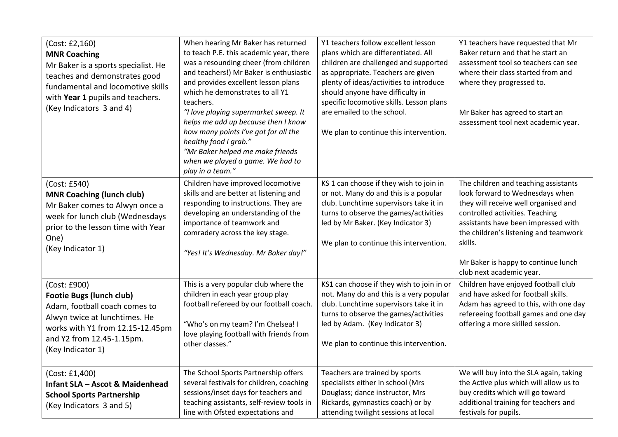| (Cost: £2,160)<br><b>MNR Coaching</b><br>Mr Baker is a sports specialist. He<br>teaches and demonstrates good<br>fundamental and locomotive skills<br>with Year 1 pupils and teachers.<br>(Key Indicators 3 and 4) | When hearing Mr Baker has returned<br>to teach P.E. this academic year, there<br>was a resounding cheer (from children<br>and teachers!) Mr Baker is enthusiastic<br>and provides excellent lesson plans<br>which he demonstrates to all Y1<br>teachers.<br>"I love playing supermarket sweep. It<br>helps me add up because then I know<br>how many points I've got for all the<br>healthy food I grab."<br>"Mr Baker helped me make friends<br>when we played a game. We had to<br>play in a team." | Y1 teachers follow excellent lesson<br>plans which are differentiated. All<br>children are challenged and supported<br>as appropriate. Teachers are given<br>plenty of ideas/activities to introduce<br>should anyone have difficulty in<br>specific locomotive skills. Lesson plans<br>are emailed to the school.<br>We plan to continue this intervention. | Y1 teachers have requested that Mr<br>Baker return and that he start an<br>assessment tool so teachers can see<br>where their class started from and<br>where they progressed to.<br>Mr Baker has agreed to start an<br>assessment tool next academic year.                                                      |
|--------------------------------------------------------------------------------------------------------------------------------------------------------------------------------------------------------------------|-------------------------------------------------------------------------------------------------------------------------------------------------------------------------------------------------------------------------------------------------------------------------------------------------------------------------------------------------------------------------------------------------------------------------------------------------------------------------------------------------------|--------------------------------------------------------------------------------------------------------------------------------------------------------------------------------------------------------------------------------------------------------------------------------------------------------------------------------------------------------------|------------------------------------------------------------------------------------------------------------------------------------------------------------------------------------------------------------------------------------------------------------------------------------------------------------------|
| (Cost: £540)<br><b>MNR Coaching (lunch club)</b><br>Mr Baker comes to Alwyn once a<br>week for lunch club (Wednesdays<br>prior to the lesson time with Year<br>One)<br>(Key Indicator 1)                           | Children have improved locomotive<br>skills and are better at listening and<br>responding to instructions. They are<br>developing an understanding of the<br>importance of teamwork and<br>comradery across the key stage.<br>"Yes! It's Wednesday. Mr Baker day!"                                                                                                                                                                                                                                    | KS 1 can choose if they wish to join in<br>or not. Many do and this is a popular<br>club. Lunchtime supervisors take it in<br>turns to observe the games/activities<br>led by Mr Baker. (Key Indicator 3)<br>We plan to continue this intervention.                                                                                                          | The children and teaching assistants<br>look forward to Wednesdays when<br>they will receive well organised and<br>controlled activities. Teaching<br>assistants have been impressed with<br>the children's listening and teamwork<br>skills.<br>Mr Baker is happy to continue lunch<br>club next academic year. |
| (Cost: £900)<br><b>Footie Bugs (lunch club)</b><br>Adam, football coach comes to<br>Alwyn twice at lunchtimes. He<br>works with Y1 from 12.15-12.45pm<br>and Y2 from 12.45-1.15pm.<br>(Key Indicator 1)            | This is a very popular club where the<br>children in each year group play<br>football refereed by our football coach.<br>"Who's on my team? I'm Chelsea! I<br>love playing football with friends from<br>other classes."                                                                                                                                                                                                                                                                              | KS1 can choose if they wish to join in or<br>not. Many do and this is a very popular<br>club. Lunchtime supervisors take it in<br>turns to observe the games/activities<br>led by Adam. (Key Indicator 3)<br>We plan to continue this intervention.                                                                                                          | Children have enjoyed football club<br>and have asked for football skills.<br>Adam has agreed to this, with one day<br>refereeing football games and one day<br>offering a more skilled session.                                                                                                                 |
| (Cost: £1,400)<br><b>Infant SLA - Ascot &amp; Maidenhead</b><br><b>School Sports Partnership</b><br>(Key Indicators 3 and 5)                                                                                       | The School Sports Partnership offers<br>several festivals for children, coaching<br>sessions/inset days for teachers and<br>teaching assistants, self-review tools in<br>line with Ofsted expectations and                                                                                                                                                                                                                                                                                            | Teachers are trained by sports<br>specialists either in school (Mrs<br>Douglass; dance instructor, Mrs<br>Rickards, gymnastics coach) or by<br>attending twilight sessions at local                                                                                                                                                                          | We will buy into the SLA again, taking<br>the Active plus which will allow us to<br>buy credits which will go toward<br>additional training for teachers and<br>festivals for pupils.                                                                                                                            |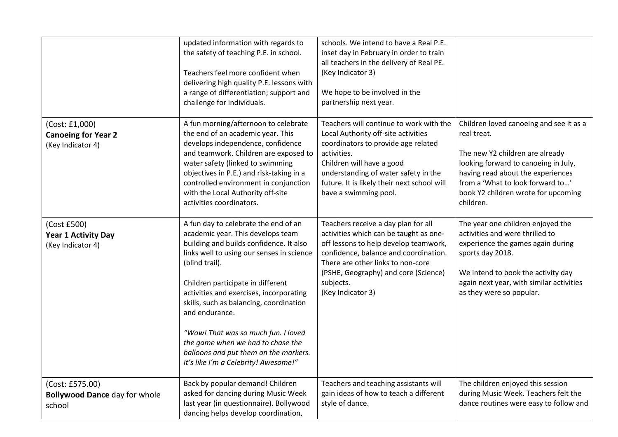|                                                                   | updated information with regards to<br>the safety of teaching P.E. in school.<br>Teachers feel more confident when<br>delivering high quality P.E. lessons with<br>a range of differentiation; support and<br>challenge for individuals.                                                                                                                                                                                                                                                      | schools. We intend to have a Real P.E.<br>inset day in February in order to train<br>all teachers in the delivery of Real PE.<br>(Key Indicator 3)<br>We hope to be involved in the<br>partnership next year.                                                                     |                                                                                                                                                                                                                                                                |
|-------------------------------------------------------------------|-----------------------------------------------------------------------------------------------------------------------------------------------------------------------------------------------------------------------------------------------------------------------------------------------------------------------------------------------------------------------------------------------------------------------------------------------------------------------------------------------|-----------------------------------------------------------------------------------------------------------------------------------------------------------------------------------------------------------------------------------------------------------------------------------|----------------------------------------------------------------------------------------------------------------------------------------------------------------------------------------------------------------------------------------------------------------|
| (Cost: £1,000)<br><b>Canoeing for Year 2</b><br>(Key Indicator 4) | A fun morning/afternoon to celebrate<br>the end of an academic year. This<br>develops independence, confidence<br>and teamwork. Children are exposed to<br>water safety (linked to swimming<br>objectives in P.E.) and risk-taking in a<br>controlled environment in conjunction<br>with the Local Authority off-site<br>activities coordinators.                                                                                                                                             | Teachers will continue to work with the<br>Local Authority off-site activities<br>coordinators to provide age related<br>activities.<br>Children will have a good<br>understanding of water safety in the<br>future. It is likely their next school will<br>have a swimming pool. | Children loved canoeing and see it as a<br>real treat.<br>The new Y2 children are already<br>looking forward to canoeing in July,<br>having read about the experiences<br>from a 'What to look forward to'<br>book Y2 children wrote for upcoming<br>children. |
| (Cost £500)<br><b>Year 1 Activity Day</b><br>(Key Indicator 4)    | A fun day to celebrate the end of an<br>academic year. This develops team<br>building and builds confidence. It also<br>links well to using our senses in science<br>(blind trail).<br>Children participate in different<br>activities and exercises, incorporating<br>skills, such as balancing, coordination<br>and endurance.<br>"Wow! That was so much fun. I loved<br>the game when we had to chase the<br>balloons and put them on the markers.<br>It's like I'm a Celebrity! Awesome!" | Teachers receive a day plan for all<br>activities which can be taught as one-<br>off lessons to help develop teamwork,<br>confidence, balance and coordination.<br>There are other links to non-core<br>(PSHE, Geography) and core (Science)<br>subjects.<br>(Key Indicator 3)    | The year one children enjoyed the<br>activities and were thrilled to<br>experience the games again during<br>sports day 2018.<br>We intend to book the activity day<br>again next year, with similar activities<br>as they were so popular.                    |
| (Cost: £575.00)<br><b>Bollywood Dance day for whole</b><br>school | Back by popular demand! Children<br>asked for dancing during Music Week<br>last year (in questionnaire). Bollywood<br>dancing helps develop coordination,                                                                                                                                                                                                                                                                                                                                     | Teachers and teaching assistants will<br>gain ideas of how to teach a different<br>style of dance.                                                                                                                                                                                | The children enjoyed this session<br>during Music Week. Teachers felt the<br>dance routines were easy to follow and                                                                                                                                            |